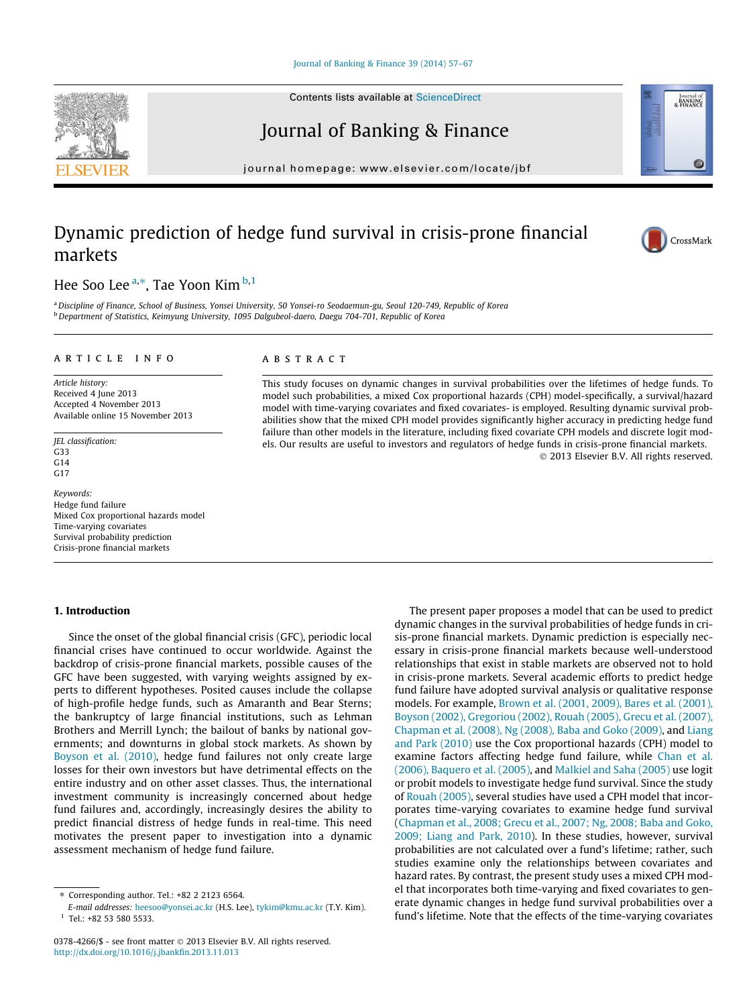#### [Journal of Banking & Finance 39 \(2014\) 57–67](http://dx.doi.org/10.1016/j.jbankfin.2013.11.013)

Contents lists available at [ScienceDirect](http://www.sciencedirect.com/science/journal/03784266)

## Journal of Banking & Finance

journal homepage: [www.elsevier.com/locate/jbf](http://www.elsevier.com/locate/jbf)

### Dynamic prediction of hedge fund survival in crisis-prone financial markets



a Discipline of Finance, School of Business, Yonsei University, 50 Yonsei-ro Seodaemun-gu, Seoul 120-749, Republic of Korea <sup>b</sup> Department of Statistics, Keimyung University, 1095 Dalgubeol-daero, Daegu 704-701, Republic of Korea

#### article info

Article history: Received 4 June 2013 Accepted 4 November 2013 Available online 15 November 2013

JEL classification: G33  $G14$ G17

Keywords: Hedge fund failure Mixed Cox proportional hazards model Time-varying covariates Survival probability prediction Crisis-prone financial markets

#### 1. Introduction

Since the onset of the global financial crisis (GFC), periodic local financial crises have continued to occur worldwide. Against the backdrop of crisis-prone financial markets, possible causes of the GFC have been suggested, with varying weights assigned by experts to different hypotheses. Posited causes include the collapse of high-profile hedge funds, such as Amaranth and Bear Sterns; the bankruptcy of large financial institutions, such as Lehman Brothers and Merrill Lynch; the bailout of banks by national governments; and downturns in global stock markets. As shown by [Boyson et al. \(2010\)](#page--1-0), hedge fund failures not only create large losses for their own investors but have detrimental effects on the entire industry and on other asset classes. Thus, the international investment community is increasingly concerned about hedge fund failures and, accordingly, increasingly desires the ability to predict financial distress of hedge funds in real-time. This need motivates the present paper to investigation into a dynamic assessment mechanism of hedge fund failure.

#### ABSTRACT

This study focuses on dynamic changes in survival probabilities over the lifetimes of hedge funds. To model such probabilities, a mixed Cox proportional hazards (CPH) model-specifically, a survival/hazard model with time-varying covariates and fixed covariates- is employed. Resulting dynamic survival probabilities show that the mixed CPH model provides significantly higher accuracy in predicting hedge fund failure than other models in the literature, including fixed covariate CPH models and discrete logit models. Our results are useful to investors and regulators of hedge funds in crisis-prone financial markets. - 2013 Elsevier B.V. All rights reserved.

> The present paper proposes a model that can be used to predict dynamic changes in the survival probabilities of hedge funds in crisis-prone financial markets. Dynamic prediction is especially necessary in crisis-prone financial markets because well-understood relationships that exist in stable markets are observed not to hold in crisis-prone markets. Several academic efforts to predict hedge fund failure have adopted survival analysis or qualitative response models. For example, [Brown et al. \(2001, 2009\), Bares et al. \(2001\),](#page--1-0) [Boyson \(2002\), Gregoriou \(2002\), Rouah \(2005\), Grecu et al. \(2007\),](#page--1-0) [Chapman et al. \(2008\), Ng \(2008\), Baba and Goko \(2009\)](#page--1-0), and [Liang](#page--1-0) [and Park \(2010\)](#page--1-0) use the Cox proportional hazards (CPH) model to examine factors affecting hedge fund failure, while [Chan et al.](#page--1-0) [\(2006\), Baquero et al. \(2005\)](#page--1-0), and [Malkiel and Saha \(2005\)](#page--1-0) use logit or probit models to investigate hedge fund survival. Since the study of [Rouah \(2005\),](#page--1-0) several studies have used a CPH model that incorporates time-varying covariates to examine hedge fund survival ([Chapman et al., 2008; Grecu et al., 2007; Ng, 2008; Baba and Goko,](#page--1-0) [2009; Liang and Park, 2010](#page--1-0)). In these studies, however, survival probabilities are not calculated over a fund's lifetime; rather, such studies examine only the relationships between covariates and hazard rates. By contrast, the present study uses a mixed CPH model that incorporates both time-varying and fixed covariates to generate dynamic changes in hedge fund survival probabilities over a fund's lifetime. Note that the effects of the time-varying covariates





Journal of<br>BANKING<br>& FINANCE

<sup>⇑</sup> Corresponding author. Tel.: +82 2 2123 6564.

E-mail addresses: [heesoo@yonsei.ac.kr](mailto:heesoo@yonsei.ac.kr) (H.S. Lee), [tykim@kmu.ac.kr](mailto:tykim@kmu.ac.kr) (T.Y. Kim).  $1$  Tel.: +82 53 580 5533.

<sup>0378-4266/\$ -</sup> see front matter © 2013 Elsevier B.V. All rights reserved. <http://dx.doi.org/10.1016/j.jbankfin.2013.11.013>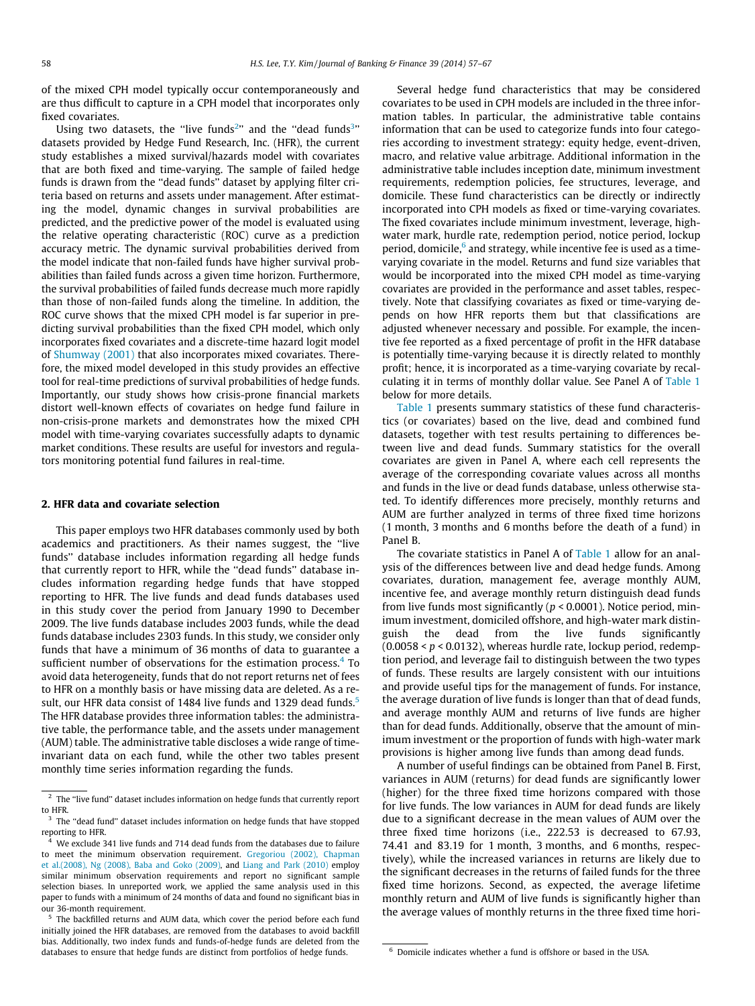of the mixed CPH model typically occur contemporaneously and are thus difficult to capture in a CPH model that incorporates only fixed covariates.

Using two datasets, the "live funds<sup>2</sup>" and the "dead funds<sup>3</sup>" datasets provided by Hedge Fund Research, Inc. (HFR), the current study establishes a mixed survival/hazards model with covariates that are both fixed and time-varying. The sample of failed hedge funds is drawn from the ''dead funds'' dataset by applying filter criteria based on returns and assets under management. After estimating the model, dynamic changes in survival probabilities are predicted, and the predictive power of the model is evaluated using the relative operating characteristic (ROC) curve as a prediction accuracy metric. The dynamic survival probabilities derived from the model indicate that non-failed funds have higher survival probabilities than failed funds across a given time horizon. Furthermore, the survival probabilities of failed funds decrease much more rapidly than those of non-failed funds along the timeline. In addition, the ROC curve shows that the mixed CPH model is far superior in predicting survival probabilities than the fixed CPH model, which only incorporates fixed covariates and a discrete-time hazard logit model of [Shumway \(2001\)](#page--1-0) that also incorporates mixed covariates. Therefore, the mixed model developed in this study provides an effective tool for real-time predictions of survival probabilities of hedge funds. Importantly, our study shows how crisis-prone financial markets distort well-known effects of covariates on hedge fund failure in non-crisis-prone markets and demonstrates how the mixed CPH model with time-varying covariates successfully adapts to dynamic market conditions. These results are useful for investors and regulators monitoring potential fund failures in real-time.

#### 2. HFR data and covariate selection

This paper employs two HFR databases commonly used by both academics and practitioners. As their names suggest, the ''live funds'' database includes information regarding all hedge funds that currently report to HFR, while the ''dead funds'' database includes information regarding hedge funds that have stopped reporting to HFR. The live funds and dead funds databases used in this study cover the period from January 1990 to December 2009. The live funds database includes 2003 funds, while the dead funds database includes 2303 funds. In this study, we consider only funds that have a minimum of 36 months of data to guarantee a sufficient number of observations for the estimation process.<sup>4</sup> To avoid data heterogeneity, funds that do not report returns net of fees to HFR on a monthly basis or have missing data are deleted. As a result, our HFR data consist of 1484 live funds and 1329 dead funds.<sup>5</sup> The HFR database provides three information tables: the administrative table, the performance table, and the assets under management (AUM) table. The administrative table discloses a wide range of timeinvariant data on each fund, while the other two tables present monthly time series information regarding the funds.

Several hedge fund characteristics that may be considered covariates to be used in CPH models are included in the three information tables. In particular, the administrative table contains information that can be used to categorize funds into four categories according to investment strategy: equity hedge, event-driven, macro, and relative value arbitrage. Additional information in the administrative table includes inception date, minimum investment requirements, redemption policies, fee structures, leverage, and domicile. These fund characteristics can be directly or indirectly incorporated into CPH models as fixed or time-varying covariates. The fixed covariates include minimum investment, leverage, highwater mark, hurdle rate, redemption period, notice period, lockup period, domicile, $6$  and strategy, while incentive fee is used as a timevarying covariate in the model. Returns and fund size variables that would be incorporated into the mixed CPH model as time-varying covariates are provided in the performance and asset tables, respectively. Note that classifying covariates as fixed or time-varying depends on how HFR reports them but that classifications are adjusted whenever necessary and possible. For example, the incentive fee reported as a fixed percentage of profit in the HFR database is potentially time-varying because it is directly related to monthly profit; hence, it is incorporated as a time-varying covariate by recalculating it in terms of monthly dollar value. See Panel A of [Table 1](#page--1-0) below for more details.

[Table 1](#page--1-0) presents summary statistics of these fund characteristics (or covariates) based on the live, dead and combined fund datasets, together with test results pertaining to differences between live and dead funds. Summary statistics for the overall covariates are given in Panel A, where each cell represents the average of the corresponding covariate values across all months and funds in the live or dead funds database, unless otherwise stated. To identify differences more precisely, monthly returns and AUM are further analyzed in terms of three fixed time horizons (1 month, 3 months and 6 months before the death of a fund) in Panel B.

The covariate statistics in Panel A of [Table 1](#page--1-0) allow for an analysis of the differences between live and dead hedge funds. Among covariates, duration, management fee, average monthly AUM, incentive fee, and average monthly return distinguish dead funds from live funds most significantly ( $p < 0.0001$ ). Notice period, minimum investment, domiciled offshore, and high-water mark distinguish the dead from the live funds significantly  $(0.0058 < p < 0.0132)$ , whereas hurdle rate, lockup period, redemption period, and leverage fail to distinguish between the two types of funds. These results are largely consistent with our intuitions and provide useful tips for the management of funds. For instance, the average duration of live funds is longer than that of dead funds, and average monthly AUM and returns of live funds are higher than for dead funds. Additionally, observe that the amount of minimum investment or the proportion of funds with high-water mark provisions is higher among live funds than among dead funds.

A number of useful findings can be obtained from Panel B. First, variances in AUM (returns) for dead funds are significantly lower (higher) for the three fixed time horizons compared with those for live funds. The low variances in AUM for dead funds are likely due to a significant decrease in the mean values of AUM over the three fixed time horizons (i.e., 222.53 is decreased to 67.93, 74.41 and 83.19 for 1 month, 3 months, and 6 months, respectively), while the increased variances in returns are likely due to the significant decreases in the returns of failed funds for the three fixed time horizons. Second, as expected, the average lifetime monthly return and AUM of live funds is significantly higher than the average values of monthly returns in the three fixed time hori-

 $2$  The "live fund" dataset includes information on hedge funds that currently report to HFR.

<sup>&</sup>lt;sup>3</sup> The "dead fund" dataset includes information on hedge funds that have stopped reporting to HFR.

<sup>&</sup>lt;sup>4</sup> We exclude 341 live funds and 714 dead funds from the databases due to failure to meet the minimum observation requirement. [Gregoriou \(2002\), Chapman](#page--1-0) [et al.\(2008\), Ng \(2008\), Baba and Goko \(2009\),](#page--1-0) and [Liang and Park \(2010\)](#page--1-0) employ similar minimum observation requirements and report no significant sample selection biases. In unreported work, we applied the same analysis used in this paper to funds with a minimum of 24 months of data and found no significant bias in our 36-month requirement.

<sup>&</sup>lt;sup>5</sup> The backfilled returns and AUM data, which cover the period before each fund initially joined the HFR databases, are removed from the databases to avoid backfill bias. Additionally, two index funds and funds-of-hedge funds are deleted from the databases to ensure that hedge funds are distinct from portfolios of hedge funds. <sup>6</sup> Domicile indicates whether a fund is offshore or based in the USA.